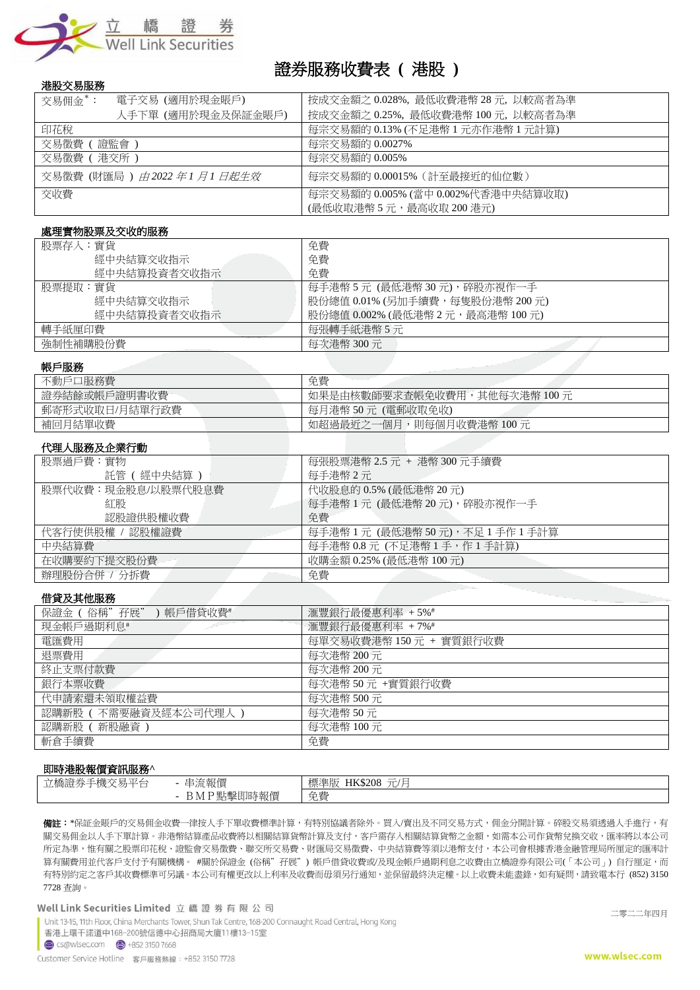

# 證券服務收費表 **(** 港股 **)**

### 港股交易服務

| 電子交易 (適用於現金賬戶)<br>交易佣金*:                      | 按成交金額之 0.028%,最低收費港幣 28 元,以較高者為準                           |
|-----------------------------------------------|------------------------------------------------------------|
| 人手下單 (適用於現金及保証金賬戶)                            | 按成交金額之 0.25%, 最低收費港幣 100 元, 以較高者為準                         |
| 印花稅                                           | 每宗交易額的 0.13% (不足港幣 1 元亦作港幣 1 元計算)                          |
| 交易徵費<br>證監會                                   | 每宗交易額的 0.0027%                                             |
| 交易徵費(<br>〔 港交所 )                              | 每宗交易額的 0.005%                                              |
| 交易徵費 (財匯局 ) <i>由</i> 2022 <i>年 1 月 1 日起生效</i> | 每宗交易額的 0.00015% (計至最接近的仙位數)                                |
| 交收費                                           | 每宗交易額的 0.005% (當中 0.002%代香港中央結算收取)<br>(最低收取港幣5元,最高收取200港元) |

#### 處理實物股票及交收的服務

| 股票存入:實貨      | 免費                                |
|--------------|-----------------------------------|
| 經中央結算交收指示    | 免費                                |
| 經中央結算投資者交收指示 | 免費                                |
| 股票提取:實貨      | 每手港幣 5 元 (最低港幣 30 元),碎股亦視作一手      |
| 經中央結算交收指示    | 股份總值 0.01% (另加手續費,每隻股份港幣 200 元)   |
| 經中央結算投資者交收指示 | 股份總值 0.002% (最低港幣 2 元,最高港幣 100 元) |
| 轉手紙厘印費       | 每張轉手紙港幣5元                         |
| 強制性補購股份費     | 每次港幣 300 元                        |

### 帳戶服務

| 不動戶口服務費        | 免費                           |
|----------------|------------------------------|
| 證券結餘或帳戶證明書收費   | 如果是由核數師要求查帳免收費用,其他每次港幣 100 元 |
| 郵寄形式收取日/月結單行政費 | 每月港幣 50 元 (電郵收取免收)           |
| 補回月結單收費        | ,則每個月收費港幣 100 元<br>如超過最近之一個月 |
|                |                              |

## 代理人服務及企業行動

| 每張股票港幣 2.5 元 + 港幣 300 元手續費         |
|------------------------------------|
| 每手港幣 2 元                           |
| 代收股息的 0.5% (最低港幣 20 元)             |
| 每手港幣 1 元 (最低港幣 20 元),碎股亦視作一手       |
| 免費                                 |
| 每手港幣 1 元 (最低港幣 50 元),不足 1 手作 1 手計算 |
| 每手港幣 0.8 元(不足港幣 1 手,作 1 手計算)       |
| 收購金額 0.25% (最低港幣 100 元)            |
| 免費                                 |
|                                    |

### 借貸及其他服務

| $1 - 7 - 7 - 7 - 1 - 1 - 1 - 1 - 1 - 1$ |                         |
|-----------------------------------------|-------------------------|
| 保證金 (俗稱"孖展"<br>) 帳戶借貸收費#                | 滙豐銀行最優惠利率 +5%#          |
| 現金帳戶過期利息#                               | 滙豐銀行最優惠利率 +7%#          |
| 電匯費用                                    | 每單交易收費港幣 150 元 + 實質銀行收費 |
| 退票費用                                    | 每次港幣 200元               |
| 終止支票付款費                                 | 每次港幣 200 元              |
| 銀行本票收費                                  | 每次港幣50元+實質銀行收費          |
| 代申請索還未領取權益費                             | 每次港幣 500元               |
| 認購新股(不需要融資及經本公司代理人)                     | 每次港幣50元                 |
| 認購新股 (新股融資)                             | 每次港幣 100元               |
| 斬倉手續費                                   | 免費                      |
|                                         |                         |

### 即時港股報價資訊服務**^**

| .                                                                         |                                                   |                                                                                                         |
|---------------------------------------------------------------------------|---------------------------------------------------|---------------------------------------------------------------------------------------------------------|
| $146 \rightarrow 77$<br>立橋證差<br>$\sim$<br>$\pi$<br>、丁恢。<br>$\sim$ 22<br>_ | 琉報價<br>__                                         | 標準版<br>$\overline{\phantom{a}}$<br>$\overline{\phantom{a}}$<br><b>HK\$208</b><br><b>STATISTICS</b><br>◡ |
|                                                                           | 电压力<br>撃即眠<br>. .<br>∼<br>干以貝<br>D TAT T<br>$nm+$ | 井<br><u>.</u><br>--<br>ノロケ                                                                              |

**備註:**\*保証金賬戶的交易佣金收費一律按人手下單收費標準計算,有特別協議者除外。買入/賣出及不同交易方式,佣金分開計算。碎股交易須透過人手進行,有 關交易佣金以人手下單計算。非港幣結算產品收費將以相關結算貨幣計算及支付,客戶需存入相關結算貨幣之金額,如需本公司作貨幣兌換交收,匯率將以本公司 所定為準,惟有關之股票印花稅、證監會交易徵費、聯交所交易費、財匯局交易徵費、中央結算費等須以港幣支付,本公司會根據香港金融管理局所厘定的匯率計 算有關費用並代客戶支付予有關機構。 #關於保證金 (俗稱"孖展") 帳戶借貸收費或/及現金帳戶過期利息之收費由立橋證券有限公司(「本公司」) 自行厘定,而 有特別約定之客戶其收費標準可另議。本公司有權更改以上利率及收費而毋須另行通知,並保留最終決定權。以上收費未能盡錄,如有疑問,請致電本行 (852) 3150 7728 查詢。

Well Link Securities Limited 立橋證券有限公司

Unit 13-15, 11th Floor, China Merchants Tower, Shun Tak Centre, 168-200 Connaught Road Central, Hong Kong 香港上環干諾道中168-200號信德中心招商局大廈11樓13-15室

二零二二年四月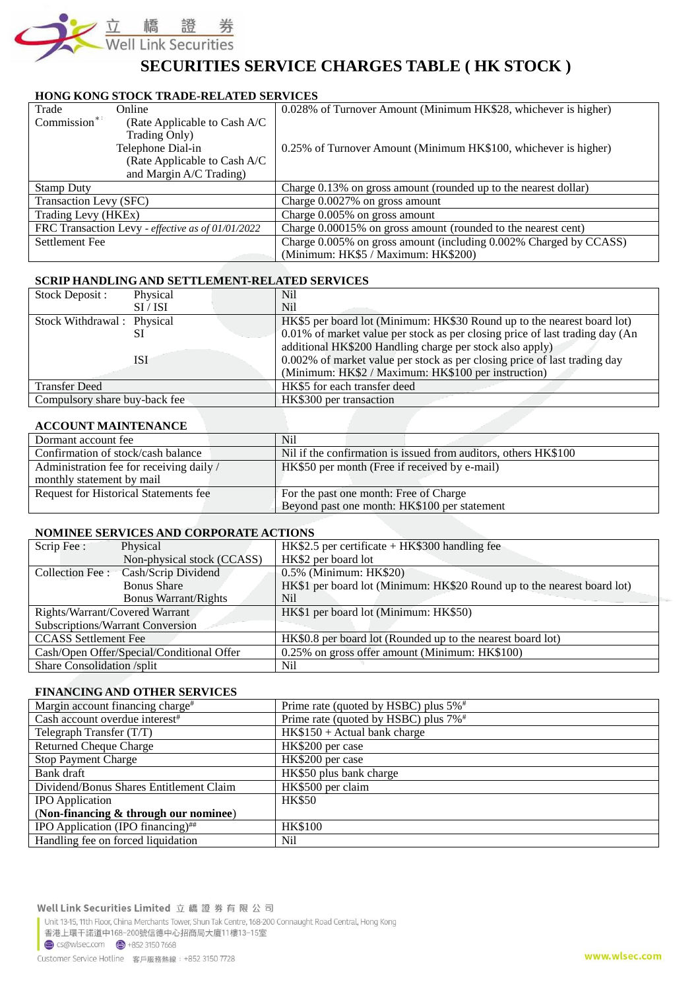

## **SECURITIES SERVICE CHARGES TABLE ( HK STOCK )**

## **HONG KONG STOCK TRADE-RELATED SERVICES**

| Trade                  | Online                                            | 0.028% of Turnover Amount (Minimum HK\$28, whichever is higher)   |
|------------------------|---------------------------------------------------|-------------------------------------------------------------------|
| $Commission^*$         | (Rate Applicable to Cash A/C)                     |                                                                   |
|                        | Trading Only)                                     |                                                                   |
|                        | Telephone Dial-in                                 | 0.25% of Turnover Amount (Minimum HK\$100, whichever is higher)   |
|                        | (Rate Applicable to Cash A/C                      |                                                                   |
|                        | and Margin A/C Trading)                           |                                                                   |
| <b>Stamp Duty</b>      |                                                   | Charge 0.13% on gross amount (rounded up to the nearest dollar)   |
| Transaction Levy (SFC) |                                                   | Charge $0.0027\%$ on gross amount                                 |
| Trading Levy (HKEx)    |                                                   | Charge $0.005\%$ on gross amount                                  |
|                        | FRC Transaction Levy - effective as of 01/01/2022 | Charge 0.00015% on gross amount (rounded to the nearest cent)     |
| Settlement Fee         |                                                   | Charge 0.005% on gross amount (including 0.002% Charged by CCASS) |
|                        |                                                   | (Minimum: HK\$5 / Maximum: HK\$200)                               |

### **SCRIP HANDLING AND SETTLEMENT-RELATED SERVICES**

| Stock Deposit:                | Physical | N <sub>il</sub>                                                              |
|-------------------------------|----------|------------------------------------------------------------------------------|
|                               | SI/ISI   | N <sub>il</sub>                                                              |
| Stock Withdrawal: Physical    |          | HK\$5 per board lot (Minimum: HK\$30 Round up to the nearest board lot)      |
|                               |          | 0.01% of market value per stock as per closing price of last trading day (An |
|                               |          | additional HK\$200 Handling charge per stock also apply)                     |
|                               | ISI      | 0.002% of market value per stock as per closing price of last trading day    |
|                               |          | (Minimum: HK\$2 / Maximum: HK\$100 per instruction)                          |
| <b>Transfer Deed</b>          |          | HK\$5 for each transfer deed                                                 |
| Compulsory share buy-back fee |          | HK\$300 per transaction                                                      |

### **ACCOUNT MAINTENANCE**

| Dormant account fee                      | N <sub>i</sub>                                                  |
|------------------------------------------|-----------------------------------------------------------------|
| Confirmation of stock/cash balance       | Nil if the confirmation is issued from auditors, others HK\$100 |
| Administration fee for receiving daily / | HK\$50 per month (Free if received by e-mail)                   |
| monthly statement by mail                |                                                                 |
| Request for Historical Statements fee    | For the past one month: Free of Charge                          |
|                                          | Beyond past one month: HK\$100 per statement                    |

### **NOMINEE SERVICES AND CORPORATE ACTIONS**

| Scrip Fee:                     | Physical                                  | $HK$2.5$ per certificate + $HK$300$ handling fee                        |  |
|--------------------------------|-------------------------------------------|-------------------------------------------------------------------------|--|
|                                | Non-physical stock (CCASS)                | HK\$2 per board lot                                                     |  |
|                                | Collection Fee : Cash/Scrip Dividend      | 0.5% (Minimum: HK\$20)                                                  |  |
|                                | <b>Bonus Share</b>                        | HK\$1 per board lot (Minimum: HK\$20 Round up to the nearest board lot) |  |
|                                | <b>Bonus Warrant/Rights</b>               | Nil                                                                     |  |
| Rights/Warrant/Covered Warrant |                                           | HK\$1 per board lot (Minimum: HK\$50)                                   |  |
|                                | <b>Subscriptions/Warrant Conversion</b>   |                                                                         |  |
| <b>CCASS</b> Settlement Fee    |                                           | HK\$0.8 per board lot (Rounded up to the nearest board lot)             |  |
|                                | Cash/Open Offer/Special/Conditional Offer | 0.25% on gross offer amount (Minimum: HK\$100)                          |  |
| Share Consolidation /split     |                                           | Nil                                                                     |  |

### **FINANCING AND OTHER SERVICES**

| Margin account financing charge <sup>#</sup> | Prime rate (quoted by HSBC) plus 5% <sup>#</sup> |  |
|----------------------------------------------|--------------------------------------------------|--|
| Cash account overdue interest <sup>#</sup>   | Prime rate (quoted by HSBC) plus 7% <sup>#</sup> |  |
| Telegraph Transfer $(T/T)$                   | $HK$150 + Actual bank charge$                    |  |
| <b>Returned Cheque Charge</b>                | HK\$200 per case                                 |  |
| <b>Stop Payment Charge</b>                   | HK\$200 per case                                 |  |
| Bank draft                                   | HK\$50 plus bank charge                          |  |
| Dividend/Bonus Shares Entitlement Claim      | HK\$500 per claim                                |  |
| <b>IPO</b> Application                       | <b>HK\$50</b>                                    |  |
| (Non-financing & through our nominee)        |                                                  |  |
| IPO Application (IPO financing) $\#$         | <b>HK\$100</b>                                   |  |
| Handling fee on forced liquidation           | Nil                                              |  |